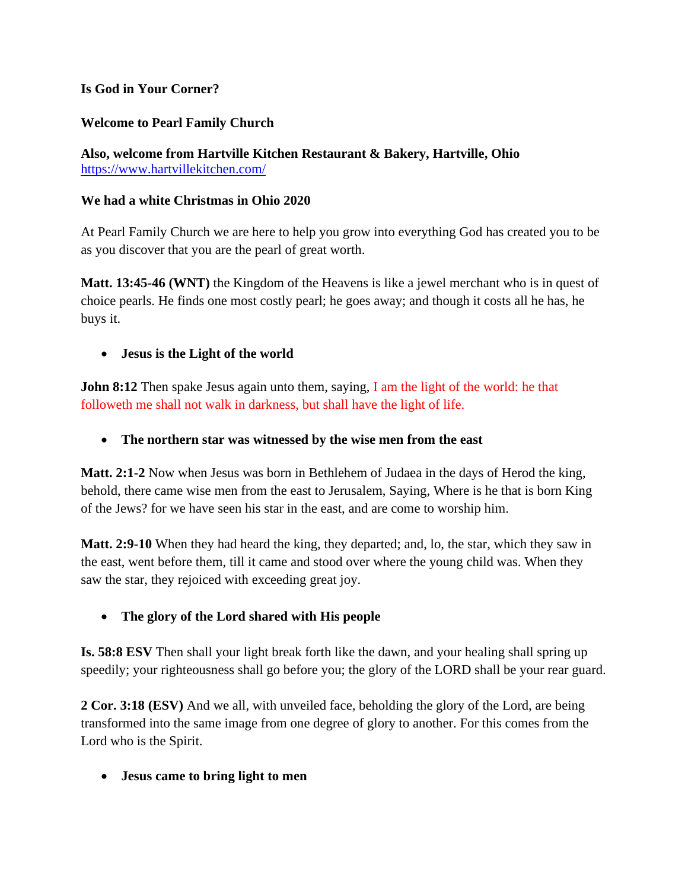#### **Is God in Your Corner?**

### **Welcome to Pearl Family Church**

**Also, welcome from Hartville Kitchen Restaurant & Bakery, Hartville, Ohio** <https://www.hartvillekitchen.com/>

#### **We had a white Christmas in Ohio 2020**

At Pearl Family Church we are here to help you grow into everything God has created you to be as you discover that you are the pearl of great worth.

**Matt. 13:45-46 (WNT)** the Kingdom of the Heavens is like a jewel merchant who is in quest of choice pearls. He finds one most costly pearl; he goes away; and though it costs all he has, he buys it.

#### • **Jesus is the Light of the world**

**John 8:12** Then spake Jesus again unto them, saying, I am the light of the world: he that followeth me shall not walk in darkness, but shall have the light of life.

• **The northern star was witnessed by the wise men from the east**

**Matt. 2:1-2** Now when Jesus was born in Bethlehem of Judaea in the days of Herod the king, behold, there came wise men from the east to Jerusalem, Saying, Where is he that is born King of the Jews? for we have seen his star in the east, and are come to worship him.

**Matt. 2:9-10** When they had heard the king, they departed; and, lo, the star, which they saw in the east, went before them, till it came and stood over where the young child was. When they saw the star, they rejoiced with exceeding great joy.

#### • **The glory of the Lord shared with His people**

**Is. 58:8 ESV** Then shall your light break forth like the dawn, and your healing shall spring up speedily; your righteousness shall go before you; the glory of the LORD shall be your rear guard.

**2 Cor. 3:18 (ESV)** And we all, with unveiled face, beholding the glory of the Lord, are being transformed into the same image from one degree of glory to another. For this comes from the Lord who is the Spirit.

• **Jesus came to bring light to men**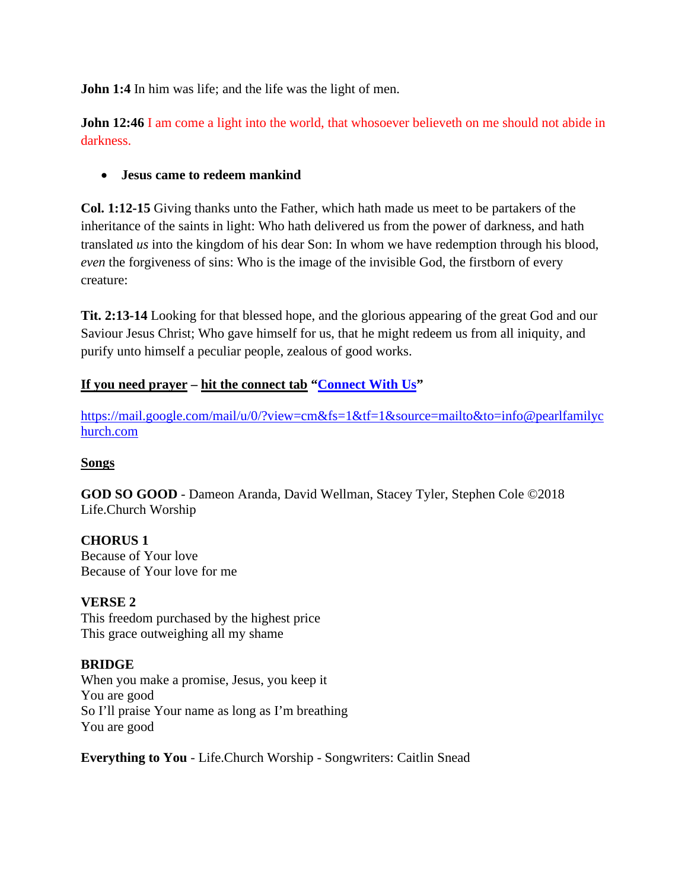**John 1:4** In him was life; and the life was the light of men.

**John 12:46** I am come a light into the world, that whosoever believeth on me should not abide in darkness.

### • **Jesus came to redeem mankind**

**Col. 1:12-15** Giving thanks unto the Father, which hath made us meet to be partakers of the inheritance of the saints in light: Who hath delivered us from the power of darkness, and hath translated *us* into the kingdom of his dear Son: In whom we have redemption through his blood, *even* the forgiveness of sins: Who is the image of the invisible God, the firstborn of every creature:

**Tit. 2:13-14** Looking for that blessed hope, and the glorious appearing of the great God and our Saviour Jesus Christ; Who gave himself for us, that he might redeem us from all iniquity, and purify unto himself a peculiar people, zealous of good works.

### **If you need prayer – hit the connect tab ["Connect](mailto:info@pearlfamilychurch.com) With Us"**

[https://mail.google.com/mail/u/0/?view=cm&fs=1&tf=1&source=mailto&to=info@pearlfamilyc](https://mail.google.com/mail/u/0/?view=cm&fs=1&tf=1&source=mailto&to=info@pearlfamilychurch.com) [hurch.com](https://mail.google.com/mail/u/0/?view=cm&fs=1&tf=1&source=mailto&to=info@pearlfamilychurch.com)

#### **Songs**

**GOD SO GOOD** - Dameon Aranda, David Wellman, Stacey Tyler, Stephen Cole ©2018 Life.Church Worship

**CHORUS 1**  Because of Your love Because of Your love for me

#### **VERSE 2**

This freedom purchased by the highest price This grace outweighing all my shame

#### **BRIDGE**

When you make a promise, Jesus, you keep it You are good So I'll praise Your name as long as I'm breathing You are good

**Everything to You** - [Life.Church Worship](https://www.google.com/search?sxsrf=ALeKk00poCVNiDfGvfStmEWJxLLW_J0XzQ:1608957651793&q=Life.Church+Worship&stick=H4sIAAAAAAAAAONgVuLVT9c3NEwyjy82rcwtWMQq7JOZlqrnnFFalJyhEJ5fVJyRWQAAHVz11CcAAAA&sa=X&ved=2ahUKEwilsqyq6urtAhVOnFkKHZvFCk0QMTAAegQIARAD) - Songwriters: Caitlin Snead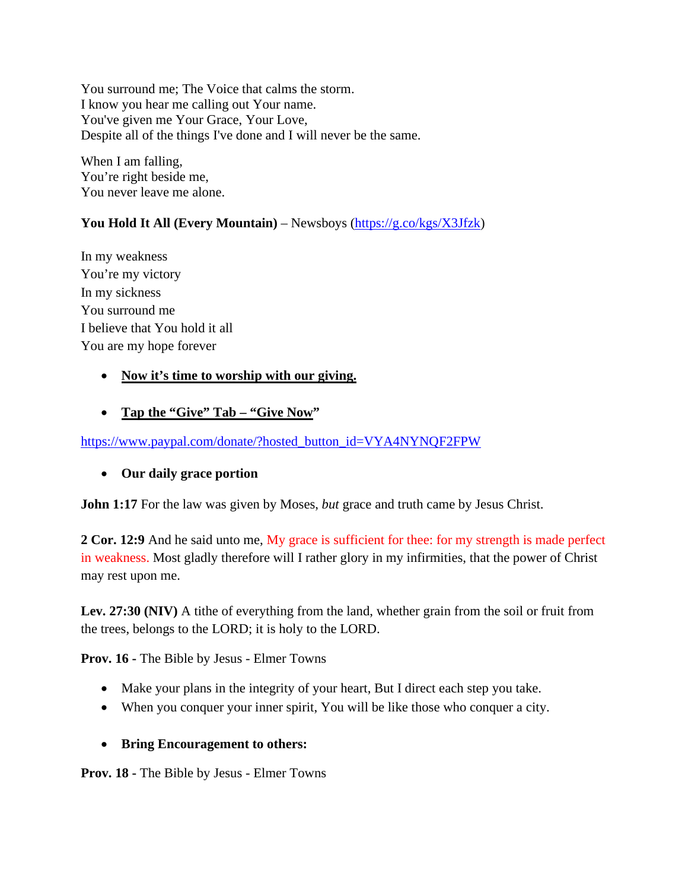You surround me; The Voice that calms the storm. I know you hear me calling out Your name. You've given me Your Grace, Your Love, Despite all of the things I've done and I will never be the same.

When I am falling, You're right beside me, You never leave me alone.

### **You Hold It All (Every Mountain)** – Newsboys [\(https://g.co/kgs/X3Jfzk\)](https://nam04.safelinks.protection.outlook.com/?url=https%3A%2F%2Fg.co%2Fkgs%2FX3Jfzk&data=04%7C01%7Cdanazarewicz%40liberty.edu%7C301cadba4d894fdced0a08d8ac5adf10%7Cbaf8218eb3024465a9934a39c97251b2%7C0%7C0%7C637448853584974692%7CUnknown%7CTWFpbGZsb3d8eyJWIjoiMC4wLjAwMDAiLCJQIjoiV2luMzIiLCJBTiI6Ik1haWwiLCJXVCI6Mn0%3D%7C1000&sdata=D9V2o8i57XWzzDQEB30MG%2Bmf7e8hUBXyhIjhnWboBww%3D&reserved=0)

In my weakness You're my victory In my sickness You surround me I believe that You hold it all You are my hope forever

### • **Now it's time to worship with our giving.**

### • **Tap the "Give" Tab – "Give Now"**

#### [https://www.paypal.com/donate/?hosted\\_button\\_id=VYA4NYNQF2FPW](https://www.paypal.com/donate/?hosted_button_id=VYA4NYNQF2FPW)

#### • **Our daily grace portion**

**John 1:17** For the law was given by Moses, *but* grace and truth came by Jesus Christ.

**2 Cor. 12:9** And he said unto me, My grace is sufficient for thee: for my strength is made perfect in weakness. Most gladly therefore will I rather glory in my infirmities, that the power of Christ may rest upon me.

**Lev. 27:30 (NIV)** A tithe of everything from the land, whether grain from the soil or fruit from the trees, belongs to the LORD; it is holy to the LORD.

**Prov. 16 -** The Bible by Jesus - Elmer Towns

- Make your plans in the integrity of your heart, But I direct each step you take.
- When you conquer your inner spirit, You will be like those who conquer a city.

#### • **Bring Encouragement to others:**

**Prov. 18 -** The Bible by Jesus - Elmer Towns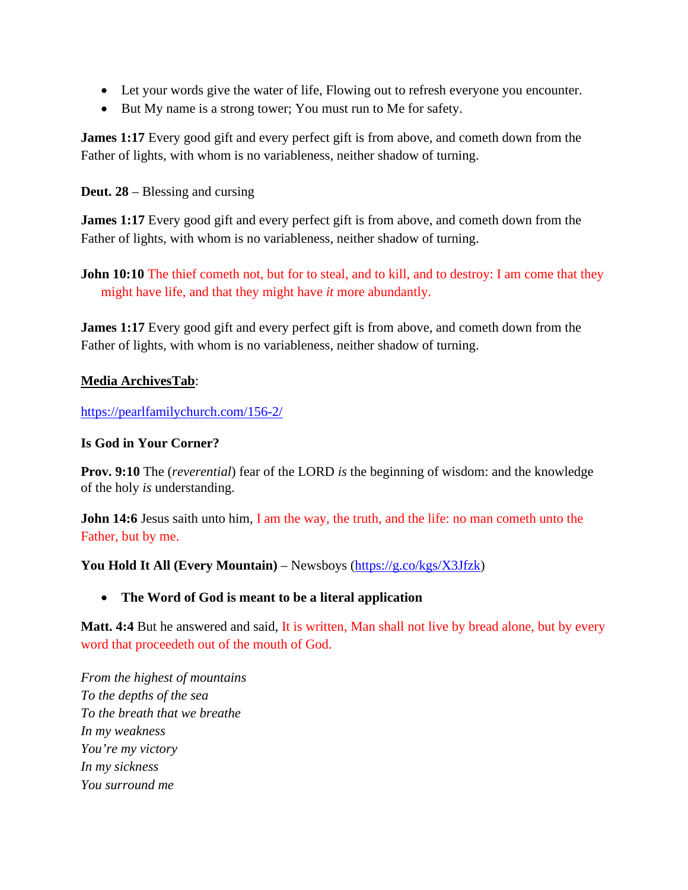- Let your words give the water of life, Flowing out to refresh everyone you encounter.
- But My name is a strong tower; You must run to Me for safety.

**James 1:17** Every good gift and every perfect gift is from above, and cometh down from the Father of lights, with whom is no variableness, neither shadow of turning.

**Deut. 28** – Blessing and cursing

**James 1:17** Every good gift and every perfect gift is from above, and cometh down from the Father of lights, with whom is no variableness, neither shadow of turning.

**John 10:10** The thief cometh not, but for to steal, and to kill, and to destroy: I am come that they might have life, and that they might have *it* more abundantly.

**James 1:17** Every good gift and every perfect gift is from above, and cometh down from the Father of lights, with whom is no variableness, neither shadow of turning.

### **Media ArchivesTab**:

<https://pearlfamilychurch.com/156-2/>

#### **Is God in Your Corner?**

**Prov. 9:10** The (*reverential*) fear of the LORD *is* the beginning of wisdom: and the knowledge of the holy *is* understanding.

**John 14:6** Jesus saith unto him, I am the way, the truth, and the life: no man cometh unto the Father, but by me.

**You Hold It All (Every Mountain)** – Newsboys [\(https://g.co/kgs/X3Jfzk\)](https://nam04.safelinks.protection.outlook.com/?url=https%3A%2F%2Fg.co%2Fkgs%2FX3Jfzk&data=04%7C01%7Cdanazarewicz%40liberty.edu%7C301cadba4d894fdced0a08d8ac5adf10%7Cbaf8218eb3024465a9934a39c97251b2%7C0%7C0%7C637448853584974692%7CUnknown%7CTWFpbGZsb3d8eyJWIjoiMC4wLjAwMDAiLCJQIjoiV2luMzIiLCJBTiI6Ik1haWwiLCJXVCI6Mn0%3D%7C1000&sdata=D9V2o8i57XWzzDQEB30MG%2Bmf7e8hUBXyhIjhnWboBww%3D&reserved=0)

### • **The Word of God is meant to be a literal application**

**Matt. 4:4** But he answered and said, It is written, Man shall not live by bread alone, but by every word that proceedeth out of the mouth of God.

*From the highest of mountains To the depths of the sea To the breath that we breathe In my weakness You're my victory In my sickness You surround me*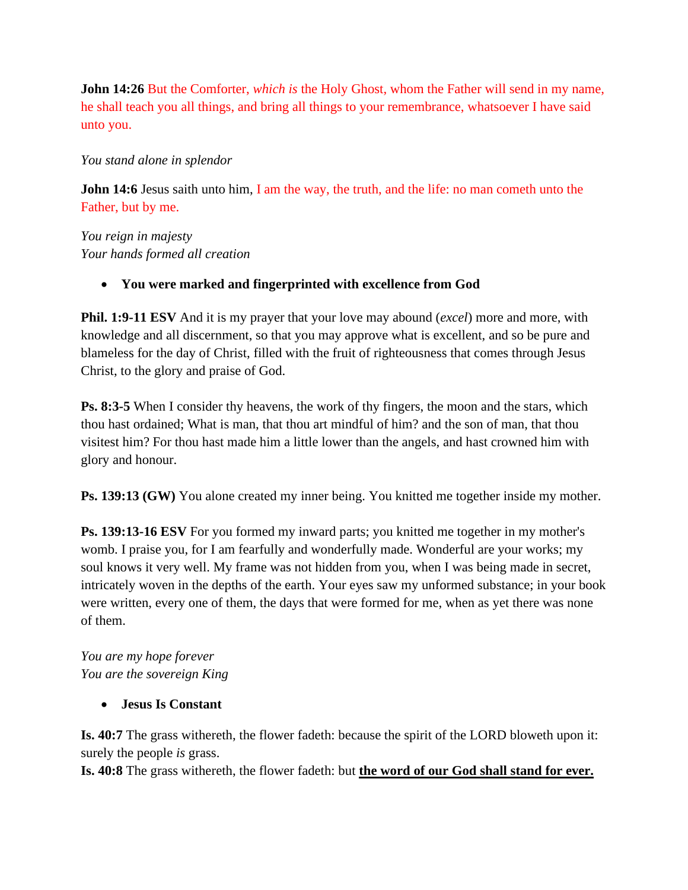**John 14:26** But the Comforter, *which is* the Holy Ghost, whom the Father will send in my name, he shall teach you all things, and bring all things to your remembrance, whatsoever I have said unto you.

#### *You stand alone in splendor*

**John 14:6** Jesus saith unto him, I am the way, the truth, and the life: no man cometh unto the Father, but by me.

*You reign in majesty Your hands formed all creation*

### • **You were marked and fingerprinted with excellence from God**

**Phil. 1:9-11 ESV** And it is my prayer that your love may abound (*excel*) more and more, with knowledge and all discernment, so that you may approve what is excellent, and so be pure and blameless for the day of Christ, filled with the fruit of righteousness that comes through Jesus Christ, to the glory and praise of God.

**Ps. 8:3-5** When I consider thy heavens, the work of thy fingers, the moon and the stars, which thou hast ordained; What is man, that thou art mindful of him? and the son of man, that thou visitest him? For thou hast made him a little lower than the angels, and hast crowned him with glory and honour.

**Ps. 139:13 (GW)** You alone created my inner being. You knitted me together inside my mother.

**Ps. 139:13-16 ESV** For you formed my inward parts; you knitted me together in my mother's womb. I praise you, for I am fearfully and wonderfully made. Wonderful are your works; my soul knows it very well. My frame was not hidden from you, when I was being made in secret, intricately woven in the depths of the earth. Your eyes saw my unformed substance; in your book were written, every one of them, the days that were formed for me, when as yet there was none of them.

*You are my hope forever You are the sovereign King*

• **Jesus Is Constant**

**Is. 40:7** The grass withereth, the flower fadeth: because the spirit of the LORD bloweth upon it: surely the people *is* grass.

**Is. 40:8** The grass withereth, the flower fadeth: but **the word of our God shall stand for ever.**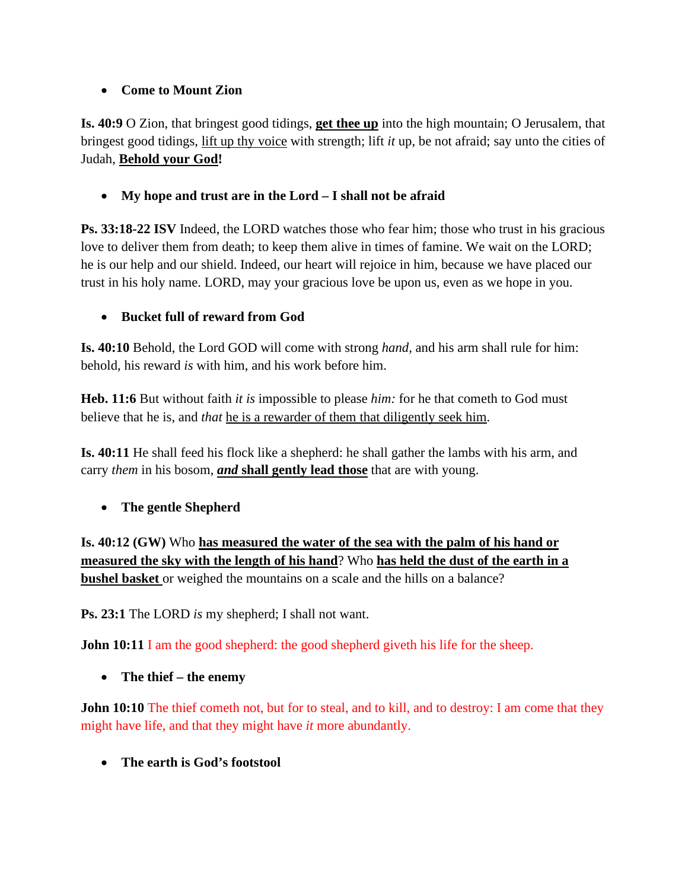# • **Come to Mount Zion**

**Is. 40:9** O Zion, that bringest good tidings, **get thee up** into the high mountain; O Jerusalem, that bringest good tidings, lift up thy voice with strength; lift *it* up, be not afraid; say unto the cities of Judah, **Behold your God!**

• **My hope and trust are in the Lord – I shall not be afraid**

**Ps. 33:18-22 ISV** Indeed, the LORD watches those who fear him; those who trust in his gracious love to deliver them from death; to keep them alive in times of famine. We wait on the LORD; he is our help and our shield. Indeed, our heart will rejoice in him, because we have placed our trust in his holy name. LORD, may your gracious love be upon us, even as we hope in you.

# • **Bucket full of reward from God**

**Is. 40:10** Behold, the Lord GOD will come with strong *hand,* and his arm shall rule for him: behold, his reward *is* with him, and his work before him.

**Heb. 11:6** But without faith *it is* impossible to please *him:* for he that cometh to God must believe that he is, and *that* he is a rewarder of them that diligently seek him.

**Is. 40:11** He shall feed his flock like a shepherd: he shall gather the lambs with his arm, and carry *them* in his bosom, *and* **shall gently lead those** that are with young.

• **The gentle Shepherd**

**Is. 40:12 (GW)** Who **has measured the water of the sea with the palm of his hand or measured the sky with the length of his hand**? Who **has held the dust of the earth in a bushel basket** or weighed the mountains on a scale and the hills on a balance?

**Ps. 23:1** The LORD *is* my shepherd; I shall not want.

**John 10:11** I am the good shepherd: the good shepherd giveth his life for the sheep.

• **The thief – the enemy**

**John 10:10** The thief cometh not, but for to steal, and to kill, and to destroy: I am come that they might have life, and that they might have *it* more abundantly.

• **The earth is God's footstool**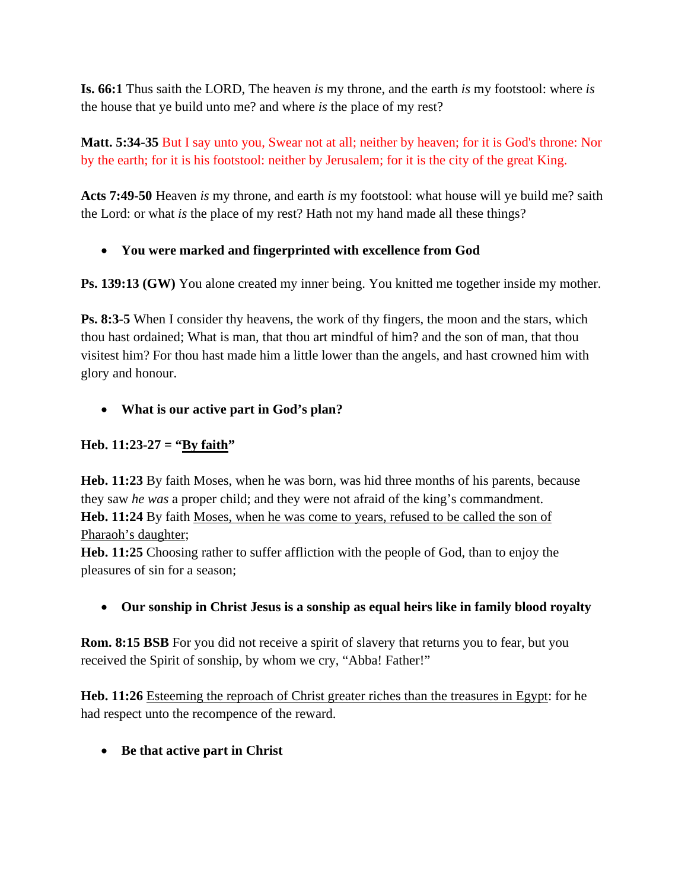**Is. 66:1** Thus saith the LORD, The heaven *is* my throne, and the earth *is* my footstool: where *is* the house that ye build unto me? and where *is* the place of my rest?

**Matt. 5:34-35** But I say unto you, Swear not at all; neither by heaven; for it is God's throne: Nor by the earth; for it is his footstool: neither by Jerusalem; for it is the city of the great King.

**Acts 7:49-50** Heaven *is* my throne, and earth *is* my footstool: what house will ye build me? saith the Lord: or what *is* the place of my rest? Hath not my hand made all these things?

# • **You were marked and fingerprinted with excellence from God**

**Ps. 139:13 (GW)** You alone created my inner being. You knitted me together inside my mother.

**Ps. 8:3-5** When I consider thy heavens, the work of thy fingers, the moon and the stars, which thou hast ordained; What is man, that thou art mindful of him? and the son of man, that thou visitest him? For thou hast made him a little lower than the angels, and hast crowned him with glory and honour.

# • **What is our active part in God's plan?**

### **Heb.** 11:23-27 = " $y$  faith"

**Heb. 11:23** By faith Moses, when he was born, was hid three months of his parents, because they saw *he was* a proper child; and they were not afraid of the king's commandment. **Heb. 11:24** By faith Moses, when he was come to years, refused to be called the son of Pharaoh's daughter;

**Heb. 11:25** Choosing rather to suffer affliction with the people of God, than to enjoy the pleasures of sin for a season;

### • **Our sonship in Christ Jesus is a sonship as equal heirs like in family blood royalty**

**Rom. 8:15 BSB** For you did not receive a spirit of slavery that returns you to fear, but you received the Spirit of sonship, by whom we cry, "Abba! Father!"

**Heb. 11:26** Esteeming the reproach of Christ greater riches than the treasures in Egypt: for he had respect unto the recompence of the reward.

• **Be that active part in Christ**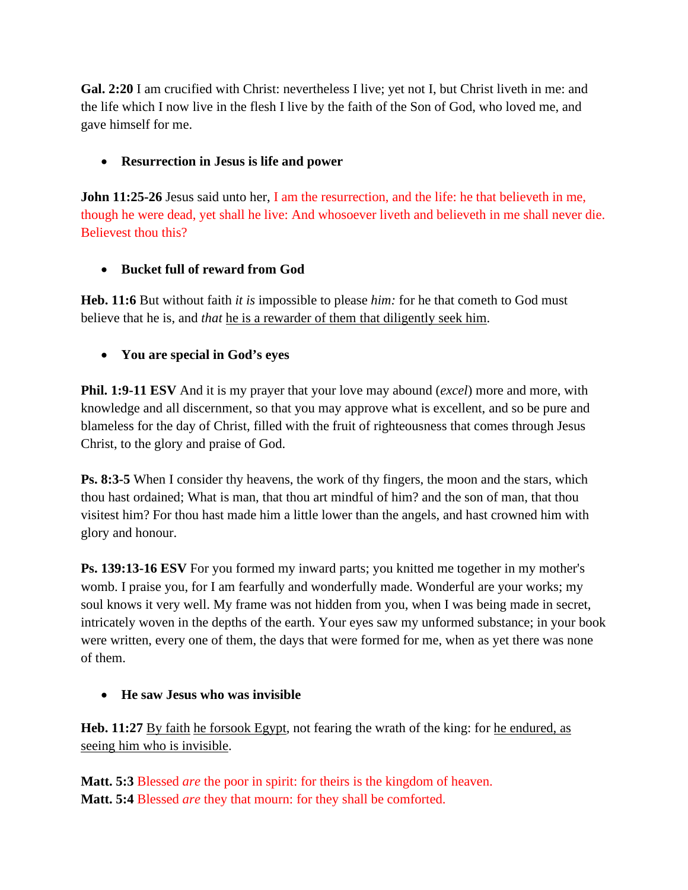**Gal. 2:20** I am crucified with Christ: nevertheless I live; yet not I, but Christ liveth in me: and the life which I now live in the flesh I live by the faith of the Son of God, who loved me, and gave himself for me.

# • **Resurrection in Jesus is life and power**

**John 11:25-26** Jesus said unto her, I am the resurrection, and the life: he that believeth in me, though he were dead, yet shall he live: And whosoever liveth and believeth in me shall never die. Believest thou this?

# • **Bucket full of reward from God**

**Heb. 11:6** But without faith *it is* impossible to please *him:* for he that cometh to God must believe that he is, and *that* he is a rewarder of them that diligently seek him.

# • **You are special in God's eyes**

**Phil. 1:9-11 ESV** And it is my prayer that your love may abound (*excel*) more and more, with knowledge and all discernment, so that you may approve what is excellent, and so be pure and blameless for the day of Christ, filled with the fruit of righteousness that comes through Jesus Christ, to the glory and praise of God.

**Ps. 8:3-5** When I consider thy heavens, the work of thy fingers, the moon and the stars, which thou hast ordained; What is man, that thou art mindful of him? and the son of man, that thou visitest him? For thou hast made him a little lower than the angels, and hast crowned him with glory and honour.

**Ps. 139:13-16 ESV** For you formed my inward parts; you knitted me together in my mother's womb. I praise you, for I am fearfully and wonderfully made. Wonderful are your works; my soul knows it very well. My frame was not hidden from you, when I was being made in secret, intricately woven in the depths of the earth. Your eyes saw my unformed substance; in your book were written, every one of them, the days that were formed for me, when as yet there was none of them.

### • **He saw Jesus who was invisible**

**Heb.** 11:27 By faith he forsook Egypt, not fearing the wrath of the king: for he endured, as seeing him who is invisible.

**Matt. 5:3** Blessed *are* the poor in spirit: for theirs is the kingdom of heaven. **Matt. 5:4** Blessed *are* they that mourn: for they shall be comforted.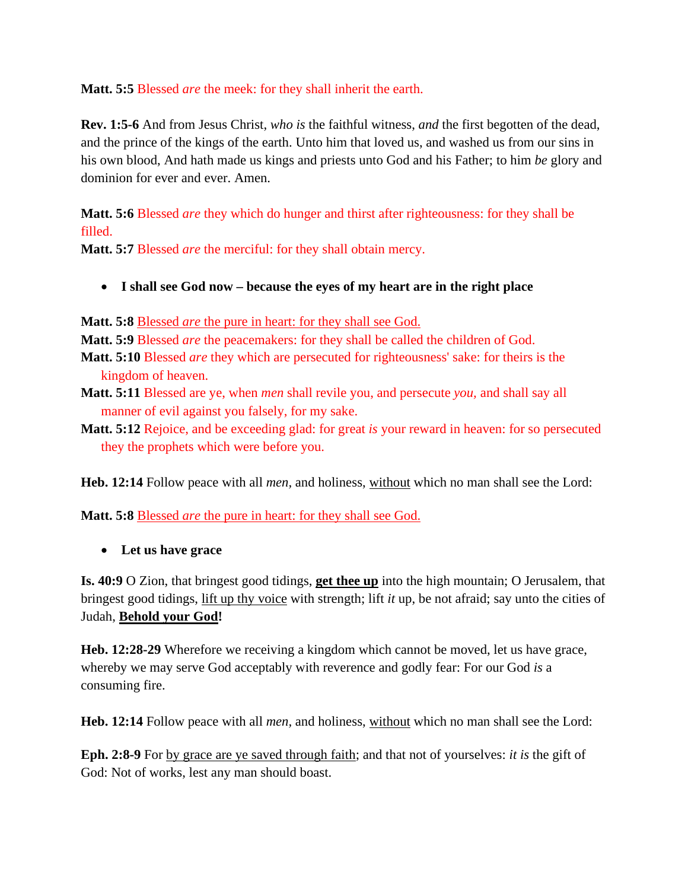**Matt. 5:5** Blessed *are* the meek: for they shall inherit the earth.

**Rev. 1:5-6** And from Jesus Christ, *who is* the faithful witness, *and* the first begotten of the dead, and the prince of the kings of the earth. Unto him that loved us, and washed us from our sins in his own blood, And hath made us kings and priests unto God and his Father; to him *be* glory and dominion for ever and ever. Amen.

**Matt. 5:6** Blessed *are* they which do hunger and thirst after righteousness: for they shall be filled.

**Matt. 5:7** Blessed *are* the merciful: for they shall obtain mercy.

• **I shall see God now – because the eyes of my heart are in the right place**

**Matt. 5:8** Blessed *are* the pure in heart: for they shall see God.

**Matt. 5:9** Blessed *are* the peacemakers: for they shall be called the children of God.

- **Matt. 5:10** Blessed *are* they which are persecuted for righteousness' sake: for theirs is the kingdom of heaven.
- **Matt. 5:11** Blessed are ye, when *men* shall revile you, and persecute *you,* and shall say all manner of evil against you falsely, for my sake.
- **Matt. 5:12** Rejoice, and be exceeding glad: for great *is* your reward in heaven: for so persecuted they the prophets which were before you.

**Heb. 12:14** Follow peace with all *men,* and holiness, without which no man shall see the Lord:

**Matt. 5:8** Blessed *are* the pure in heart: for they shall see God.

• **Let us have grace**

**Is. 40:9** O Zion, that bringest good tidings, **get thee up** into the high mountain; O Jerusalem, that bringest good tidings, lift up thy voice with strength; lift *it* up, be not afraid; say unto the cities of Judah, **Behold your God!**

**Heb. 12:28-29** Wherefore we receiving a kingdom which cannot be moved, let us have grace, whereby we may serve God acceptably with reverence and godly fear: For our God *is* a consuming fire.

**Heb. 12:14** Follow peace with all *men,* and holiness, without which no man shall see the Lord:

**Eph. 2:8-9** For by grace are ye saved through faith; and that not of yourselves: *it is* the gift of God: Not of works, lest any man should boast.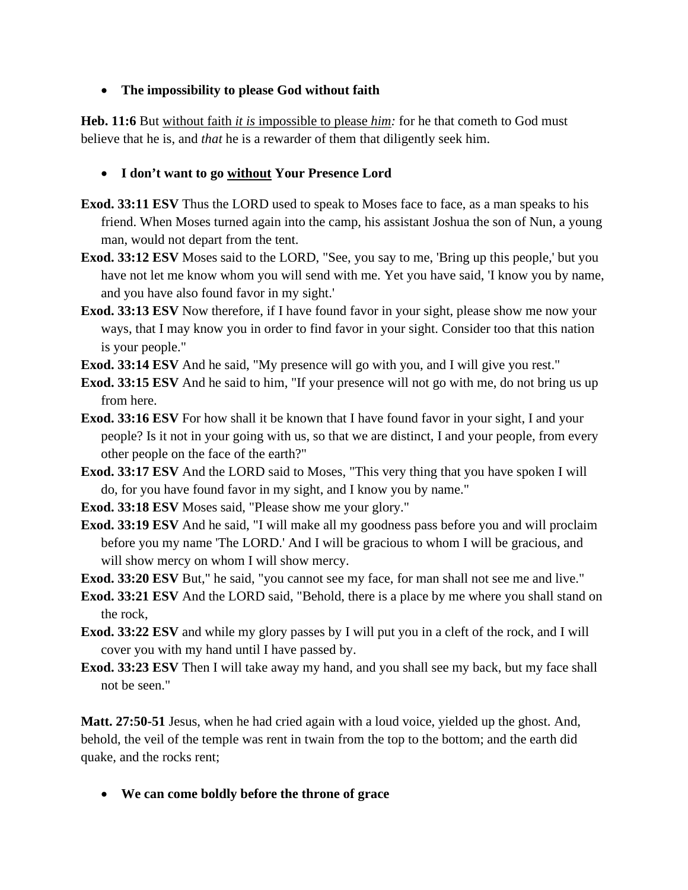#### • **The impossibility to please God without faith**

**Heb. 11:6** But without faith *it is* impossible to please *him:* for he that cometh to God must believe that he is, and *that* he is a rewarder of them that diligently seek him.

### • **I don't want to go without Your Presence Lord**

- **Exod. 33:11 ESV** Thus the LORD used to speak to Moses face to face, as a man speaks to his friend. When Moses turned again into the camp, his assistant Joshua the son of Nun, a young man, would not depart from the tent.
- **Exod. 33:12 ESV** Moses said to the LORD, "See, you say to me, 'Bring up this people,' but you have not let me know whom you will send with me. Yet you have said, 'I know you by name, and you have also found favor in my sight.'
- **Exod. 33:13 ESV** Now therefore, if I have found favor in your sight, please show me now your ways, that I may know you in order to find favor in your sight. Consider too that this nation is your people."
- **Exod. 33:14 ESV** And he said, "My presence will go with you, and I will give you rest."
- **Exod. 33:15 ESV** And he said to him, "If your presence will not go with me, do not bring us up from here.
- **Exod. 33:16 ESV** For how shall it be known that I have found favor in your sight, I and your people? Is it not in your going with us, so that we are distinct, I and your people, from every other people on the face of the earth?"
- **Exod. 33:17 ESV** And the LORD said to Moses, "This very thing that you have spoken I will do, for you have found favor in my sight, and I know you by name."
- **Exod. 33:18 ESV** Moses said, "Please show me your glory."
- **Exod. 33:19 ESV** And he said, "I will make all my goodness pass before you and will proclaim before you my name 'The LORD.' And I will be gracious to whom I will be gracious, and will show mercy on whom I will show mercy.
- **Exod. 33:20 ESV** But," he said, "you cannot see my face, for man shall not see me and live."
- **Exod. 33:21 ESV** And the LORD said, "Behold, there is a place by me where you shall stand on the rock,
- **Exod. 33:22 ESV** and while my glory passes by I will put you in a cleft of the rock, and I will cover you with my hand until I have passed by.
- **Exod. 33:23 ESV** Then I will take away my hand, and you shall see my back, but my face shall not be seen."

**Matt. 27:50-51** Jesus, when he had cried again with a loud voice, yielded up the ghost. And, behold, the veil of the temple was rent in twain from the top to the bottom; and the earth did quake, and the rocks rent;

• **We can come boldly before the throne of grace**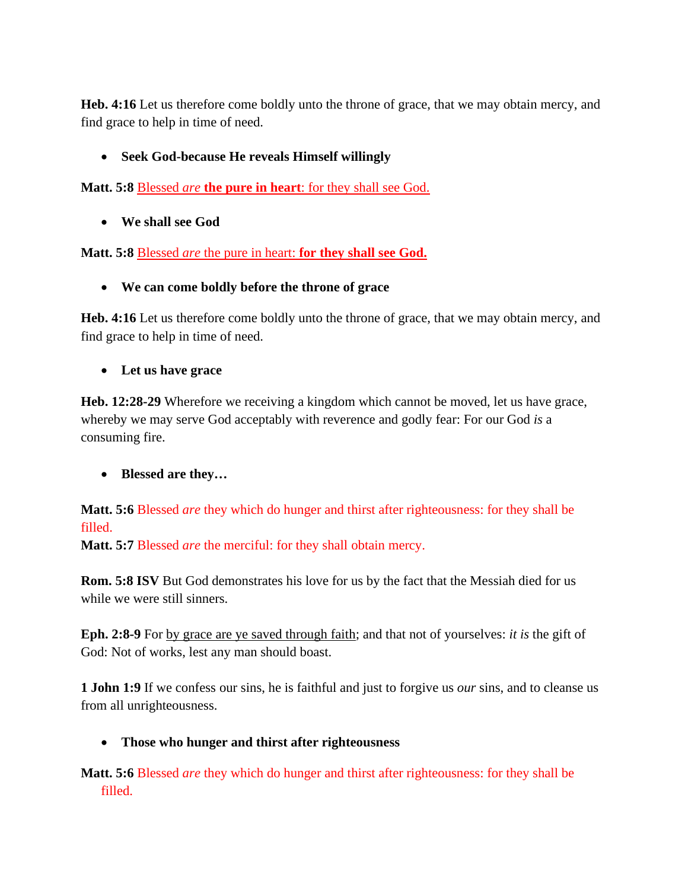**Heb. 4:16** Let us therefore come boldly unto the throne of grace, that we may obtain mercy, and find grace to help in time of need.

## • **Seek God-because He reveals Himself willingly**

**Matt. 5:8** Blessed *are* **the pure in heart**: for they shall see God.

• **We shall see God**

**Matt. 5:8** Blessed *are* the pure in heart: **for they shall see God.**

• **We can come boldly before the throne of grace**

**Heb. 4:16** Let us therefore come boldly unto the throne of grace, that we may obtain mercy, and find grace to help in time of need.

# • **Let us have grace**

**Heb. 12:28-29** Wherefore we receiving a kingdom which cannot be moved, let us have grace, whereby we may serve God acceptably with reverence and godly fear: For our God *is* a consuming fire.

# • **Blessed are they…**

**Matt. 5:6** Blessed *are* they which do hunger and thirst after righteousness: for they shall be filled.

**Matt. 5:7** Blessed *are* the merciful: for they shall obtain mercy.

**Rom. 5:8 ISV** But God demonstrates his love for us by the fact that the Messiah died for us while we were still sinners.

**Eph. 2:8-9** For by grace are ye saved through faith; and that not of yourselves: *it is* the gift of God: Not of works, lest any man should boast.

**1 John 1:9** If we confess our sins, he is faithful and just to forgive us *our* sins, and to cleanse us from all unrighteousness.

# • **Those who hunger and thirst after righteousness**

**Matt. 5:6** Blessed *are* they which do hunger and thirst after righteousness: for they shall be filled.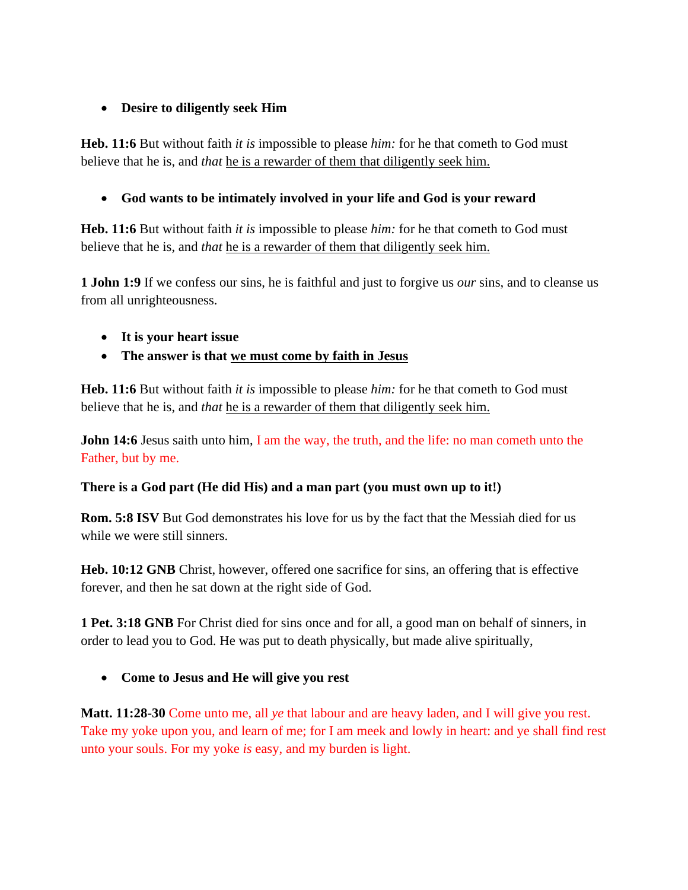### • **Desire to diligently seek Him**

**Heb. 11:6** But without faith *it is* impossible to please *him:* for he that cometh to God must believe that he is, and *that* he is a rewarder of them that diligently seek him.

### • **God wants to be intimately involved in your life and God is your reward**

**Heb. 11:6** But without faith *it is* impossible to please *him:* for he that cometh to God must believe that he is, and *that* he is a rewarder of them that diligently seek him.

**1 John 1:9** If we confess our sins, he is faithful and just to forgive us *our* sins, and to cleanse us from all unrighteousness.

- **It is your heart issue**
- **The answer is that we must come by faith in Jesus**

**Heb. 11:6** But without faith *it is* impossible to please *him:* for he that cometh to God must believe that he is, and *that* he is a rewarder of them that diligently seek him.

**John 14:6** Jesus saith unto him, I am the way, the truth, and the life: no man cometh unto the Father, but by me.

#### **There is a God part (He did His) and a man part (you must own up to it!)**

**Rom. 5:8 ISV** But God demonstrates his love for us by the fact that the Messiah died for us while we were still sinners.

**Heb. 10:12 GNB** Christ, however, offered one sacrifice for sins, an offering that is effective forever, and then he sat down at the right side of God.

**1 Pet. 3:18 GNB** For Christ died for sins once and for all, a good man on behalf of sinners, in order to lead you to God. He was put to death physically, but made alive spiritually,

### • **Come to Jesus and He will give you rest**

**Matt. 11:28-30** Come unto me, all *ye* that labour and are heavy laden, and I will give you rest. Take my yoke upon you, and learn of me; for I am meek and lowly in heart: and ye shall find rest unto your souls. For my yoke *is* easy, and my burden is light.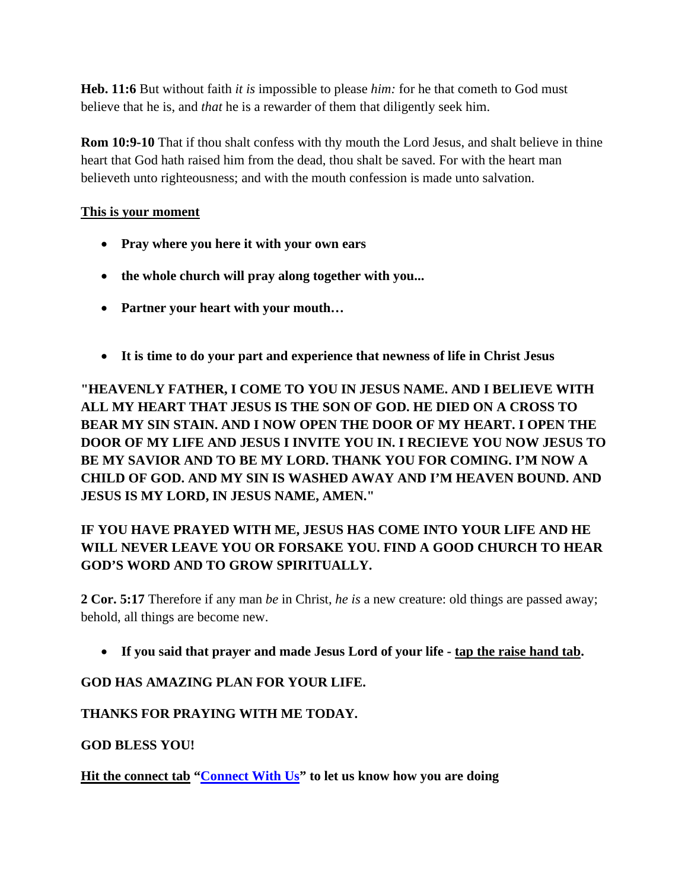**Heb. 11:6** But without faith *it is* impossible to please *him:* for he that cometh to God must believe that he is, and *that* he is a rewarder of them that diligently seek him.

**Rom 10:9-10** That if thou shalt confess with thy mouth the Lord Jesus, and shalt believe in thine heart that God hath raised him from the dead, thou shalt be saved. For with the heart man believeth unto righteousness; and with the mouth confession is made unto salvation.

### **This is your moment**

- **Pray where you here it with your own ears**
- **the whole church will pray along together with you...**
- **Partner your heart with your mouth…**
- **It is time to do your part and experience that newness of life in Christ Jesus**

**"HEAVENLY FATHER, I COME TO YOU IN JESUS NAME. AND I BELIEVE WITH ALL MY HEART THAT JESUS IS THE SON OF GOD. HE DIED ON A CROSS TO BEAR MY SIN STAIN. AND I NOW OPEN THE DOOR OF MY HEART. I OPEN THE DOOR OF MY LIFE AND JESUS I INVITE YOU IN. I RECIEVE YOU NOW JESUS TO BE MY SAVIOR AND TO BE MY LORD. THANK YOU FOR COMING. I'M NOW A CHILD OF GOD. AND MY SIN IS WASHED AWAY AND I'M HEAVEN BOUND. AND JESUS IS MY LORD, IN JESUS NAME, AMEN."**

# **IF YOU HAVE PRAYED WITH ME, JESUS HAS COME INTO YOUR LIFE AND HE WILL NEVER LEAVE YOU OR FORSAKE YOU. FIND A GOOD CHURCH TO HEAR GOD'S WORD AND TO GROW SPIRITUALLY.**

**2 Cor. 5:17** Therefore if any man *be* in Christ, *he is* a new creature: old things are passed away; behold, all things are become new.

• **If you said that prayer and made Jesus Lord of your life - tap the raise hand tab.**

### **GOD HAS AMAZING PLAN FOR YOUR LIFE.**

### **THANKS FOR PRAYING WITH ME TODAY.**

**GOD BLESS YOU!**

**Hit the connect tab ["Connect](mailto:info@pearlfamilychurch.com) With Us" to let us know how you are doing**